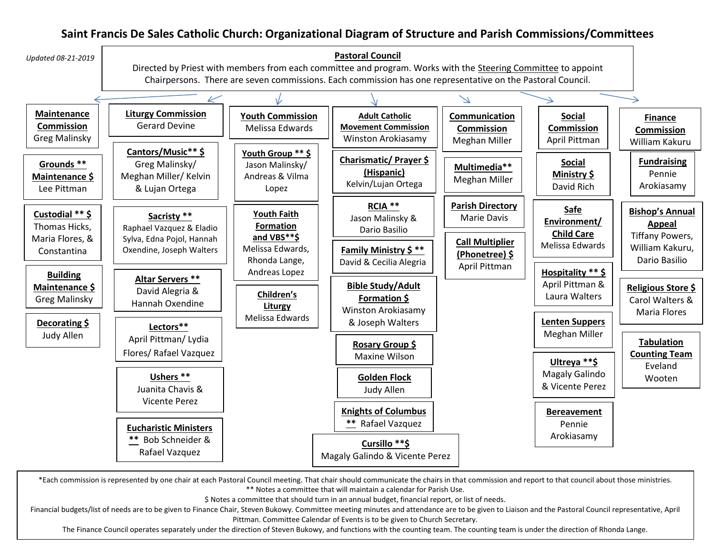## **Saint Francis De Sales Catholic Church: Organizational Diagram of Structure and Parish Commissions/Committees**



\*Each commission is represented by one chair at each Pastoral Council meeting. That chair should communicate the chairs in that commission and report to that council about those ministries. \*\* Notes a committee that will maintain a calendar for Parish Use.

\$ Notes a committee that should turn in an annual budget, financial report, or list of needs.

Financial budgets/list of needs are to be given to Finance Chair, Steven Bukowy. Committee meeting minutes and attendance are to be given to Liaison and the Pastoral Council representative, April Pittman. Committee Calendar of Events is to be given to Church Secretary.

The Finance Council operates separately under the direction of Steven Bukowy, and functions with the counting team. The counting team is under the direction of Rhonda Lange.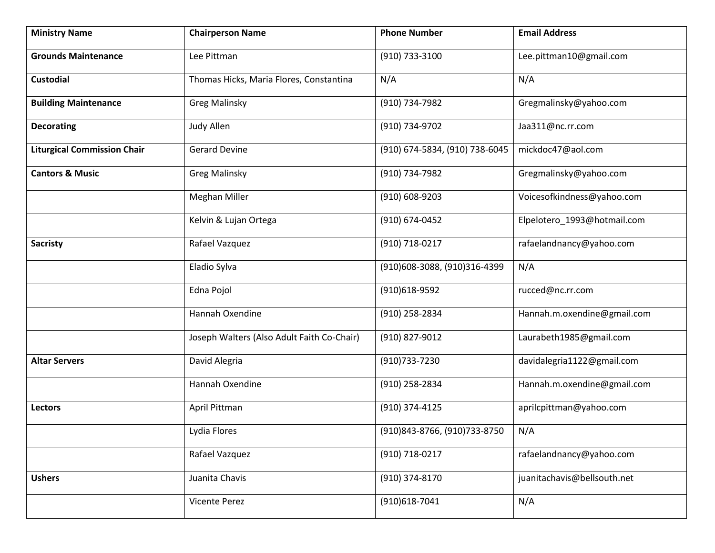| <b>Ministry Name</b>               | <b>Chairperson Name</b>                    | <b>Phone Number</b>            | <b>Email Address</b>        |
|------------------------------------|--------------------------------------------|--------------------------------|-----------------------------|
| <b>Grounds Maintenance</b>         | Lee Pittman                                | (910) 733-3100                 | Lee.pittman10@gmail.com     |
| Custodial                          | Thomas Hicks, Maria Flores, Constantina    | N/A                            | N/A                         |
| <b>Building Maintenance</b>        | <b>Greg Malinsky</b>                       | (910) 734-7982                 | Gregmalinsky@yahoo.com      |
| <b>Decorating</b>                  | Judy Allen                                 | (910) 734-9702                 | Jaa311@nc.rr.com            |
| <b>Liturgical Commission Chair</b> | <b>Gerard Devine</b>                       | (910) 674-5834, (910) 738-6045 | mickdoc47@aol.com           |
| <b>Cantors &amp; Music</b>         | <b>Greg Malinsky</b>                       | (910) 734-7982                 | Gregmalinsky@yahoo.com      |
|                                    | <b>Meghan Miller</b>                       | (910) 608-9203                 | Voicesofkindness@yahoo.com  |
|                                    | Kelvin & Lujan Ortega                      | (910) 674-0452                 | Elpelotero_1993@hotmail.com |
| <b>Sacristy</b>                    | Rafael Vazquez                             | (910) 718-0217                 | rafaelandnancy@yahoo.com    |
|                                    | Eladio Sylva                               | (910)608-3088, (910)316-4399   | N/A                         |
|                                    | Edna Pojol                                 | (910)618-9592                  | rucced@nc.rr.com            |
|                                    | Hannah Oxendine                            | (910) 258-2834                 | Hannah.m.oxendine@gmail.com |
|                                    | Joseph Walters (Also Adult Faith Co-Chair) | (910) 827-9012                 | Laurabeth1985@gmail.com     |
| <b>Altar Servers</b>               | David Alegria                              | (910) 733-7230                 | davidalegria1122@gmail.com  |
|                                    | Hannah Oxendine                            | (910) 258-2834                 | Hannah.m.oxendine@gmail.com |
| Lectors                            | April Pittman                              | (910) 374-4125                 | aprilcpittman@yahoo.com     |
|                                    | Lydia Flores                               | (910)843-8766, (910)733-8750   | N/A                         |
|                                    | Rafael Vazquez                             | (910) 718-0217                 | rafaelandnancy@yahoo.com    |
| <b>Ushers</b>                      | Juanita Chavis                             | (910) 374-8170                 | juanitachavis@bellsouth.net |
|                                    | Vicente Perez                              | (910)618-7041                  | N/A                         |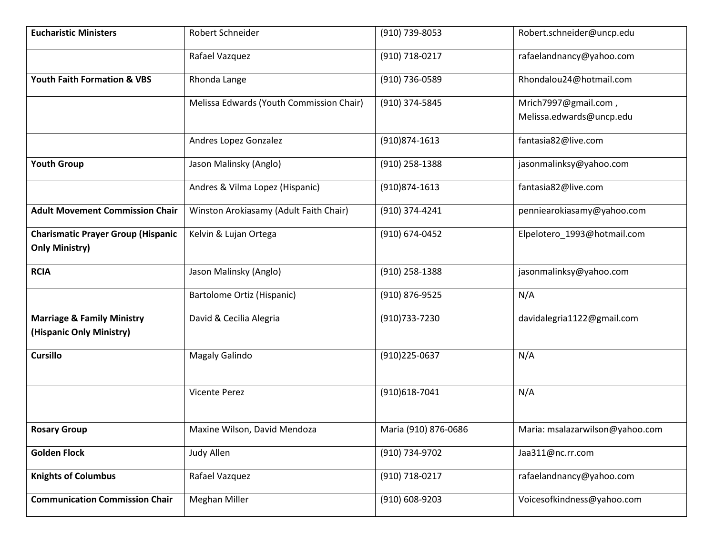| <b>Eucharistic Ministers</b>                                       | Robert Schneider                         | (910) 739-8053       | Robert.schneider@uncp.edu       |
|--------------------------------------------------------------------|------------------------------------------|----------------------|---------------------------------|
|                                                                    | Rafael Vazquez                           | (910) 718-0217       | rafaelandnancy@yahoo.com        |
| <b>Youth Faith Formation &amp; VBS</b>                             | Rhonda Lange                             | (910) 736-0589       | Rhondalou24@hotmail.com         |
|                                                                    | Melissa Edwards (Youth Commission Chair) | (910) 374-5845       | Mrich7997@gmail.com,            |
|                                                                    |                                          |                      | Melissa.edwards@uncp.edu        |
|                                                                    | Andres Lopez Gonzalez                    | (910)874-1613        | fantasia82@live.com             |
| <b>Youth Group</b>                                                 | Jason Malinsky (Anglo)                   | (910) 258-1388       | jasonmalinksy@yahoo.com         |
|                                                                    | Andres & Vilma Lopez (Hispanic)          | (910)874-1613        | fantasia82@live.com             |
| <b>Adult Movement Commission Chair</b>                             | Winston Arokiasamy (Adult Faith Chair)   | (910) 374-4241       | penniearokiasamy@yahoo.com      |
| <b>Charismatic Prayer Group (Hispanic</b><br><b>Only Ministry)</b> | Kelvin & Lujan Ortega                    | (910) 674-0452       | Elpelotero_1993@hotmail.com     |
| <b>RCIA</b>                                                        | Jason Malinsky (Anglo)                   | (910) 258-1388       | jasonmalinksy@yahoo.com         |
|                                                                    | Bartolome Ortiz (Hispanic)               | (910) 876-9525       | N/A                             |
| <b>Marriage &amp; Family Ministry</b><br>(Hispanic Only Ministry)  | David & Cecilia Alegria                  | (910) 733-7230       | davidalegria1122@gmail.com      |
| <b>Cursillo</b>                                                    | Magaly Galindo                           | (910)225-0637        | N/A                             |
|                                                                    | <b>Vicente Perez</b>                     | (910)618-7041        | N/A                             |
| <b>Rosary Group</b>                                                | Maxine Wilson, David Mendoza             | Maria (910) 876-0686 | Maria: msalazarwilson@yahoo.com |
| <b>Golden Flock</b>                                                | Judy Allen                               | (910) 734-9702       | Jaa311@nc.rr.com                |
| <b>Knights of Columbus</b>                                         | Rafael Vazquez                           | (910) 718-0217       | rafaelandnancy@yahoo.com        |
| <b>Communication Commission Chair</b>                              | Meghan Miller                            | (910) 608-9203       | Voicesofkindness@yahoo.com      |